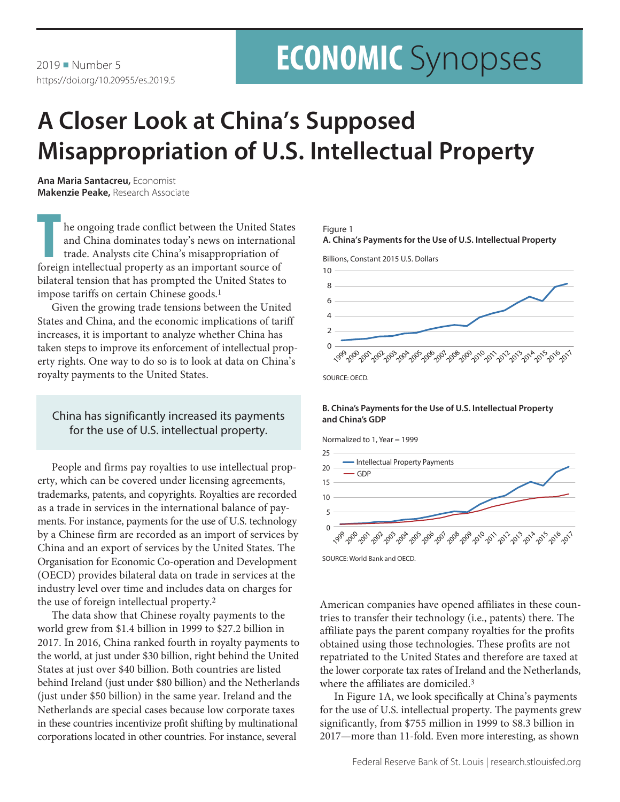# **A Closer Look at China's Supposed Misappropriation of U.S. Intellectual Property**

**Ana Maria Santacreu,** Economist **Makenzie Peake,** Research Associate

**T** he ongoing trade conflict between the United States and China dominates today's news on international trade. Analysts cite China's misappropriation of foreign intellectual property as an important source of bilateral tension that has prompted the United States to impose tariffs on certain Chinese goods.<sup>1</sup>

Given the growing trade tensions between the United States and China, and the economic implications of tariff increases, it is important to analyze whether China has taken steps to improve its enforcement of intellectual property rights. One way to do so is to look at data on China's royalty payments to the United States.

## China has significantly increased its payments for the use of U.S. intellectual property.

People and firms pay royalties to use intellectual property, which can be covered under licensing agreements, trademarks, patents, and copyrights. Royalties are recorded as a trade in services in the international balance of payments. For instance, payments for the use of U.S. technology by a Chinese firm are recorded as an import of services by China and an export of services by the United States. The Organisation for Economic Co-operation and Development (OECD) provides bilateral data on trade in services at the industry level over time and includes data on charges for the use of foreign intellectual property.2

The data show that Chinese royalty payments to the world grew from \$1.4 billion in 1999 to \$27.2 billion in 2017. In 2016, China ranked fourth in royalty payments to the world, at just under \$30 billion, right behind the United States at just over \$40 billion. Both countries are listed behind Ireland (just under \$80 billion) and the Netherlands (just under \$50 billion) in the same year. Ireland and the Netherlands are special cases because low corporate taxes in these countries incentivize profit shifting by multinational corporations located in other countries. For instance, several

### Figure 1





### **B. China's Payments for the Use of U.S. Intellectual Property and China's GDP**



SOURCE: World Bank and OECD.

American companies have opened affiliates in these countries to transfer their technology (i.e., patents) there. The affiliate pays the parent company royalties for the profits obtained using those technologies. These profits are not repatriated to the United States and therefore are taxed at the lower corporate tax rates of Ireland and the Netherlands, where the affiliates are domiciled.3

In Figure 1A, we look specifically at China's payments for the use of U.S. intellectual property. The payments grew significantly, from \$755 million in 1999 to \$8.3 billion in 2017—more than 11-fold. Even more interesting, as shown